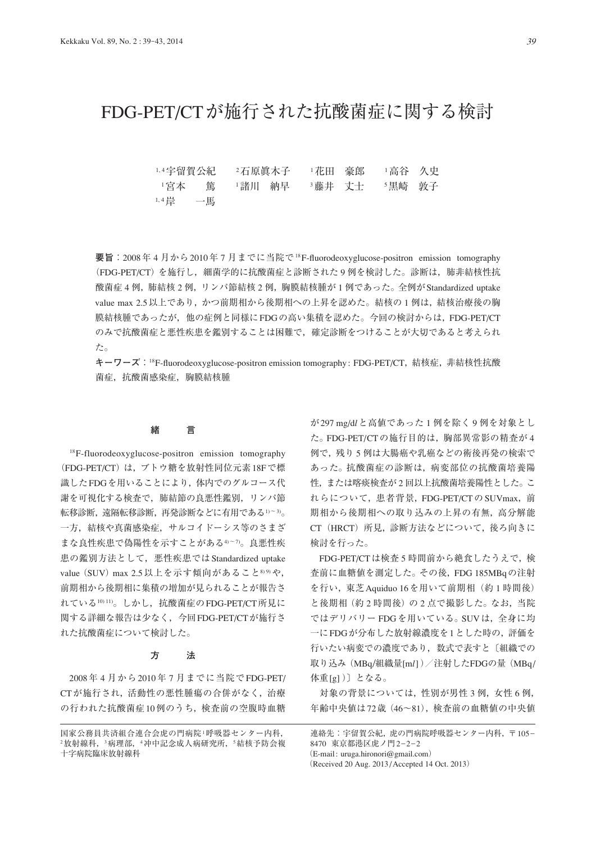# FDG-PET/CTが施行された抗酸菌症に関する検討

1,4宇留賀公紀 2石原眞木子 1花田 豪郎 1高谷 久史 1宮本 篤 1諸川 納早 3藤井 丈士 5黒崎 敦子 1, 4岸 一馬

**要旨: 2008年4月から2010年7月までに当院で<sup>18</sup>F-fluorodeoxyglucose-positron emission tomography** (FDG-PET/CT)を施行し,細菌学的に抗酸菌症と診断された 9 例を検討した。診断は,肺非結核性抗 酸菌症 4 例,肺結核 2 例,リンパ節結核 2 例,胸膜結核腫が 1 例であった。全例がStandardized uptake value max 2.5 以上であり,かつ前期相から後期相への上昇を認めた。結核の1例は,結核治療後の胸 膜結核腫であったが,他の症例と同様にFDGの高い集積を認めた。今回の検討からは,FDG-PET/CT のみで抗酸菌症と悪性疾患を鑑別することは困難で,確定診断をつけることが大切であると考えられ た。

**キーワーズ**:<sup>18</sup>F-fluorodeoxyglucose-positron emission tomography: FDG-PET/CT, 結核症, 非結核性抗酸 菌症,抗酸菌感染症,胸膜結核腫

## **緒 言**

18F-fluorodeoxyglucose-positron emission tomography (FDG-PET/CT)は,ブトウ糖を放射性同位元素18Fで標 識したFDGを用いることにより,体内でのグルコース代 謝を可視化する検査で,肺結節の良悪性鑑別,リンパ節 転移診断,遠隔転移診断,再発診断などに有用である1)~3)。 一方,結核や真菌感染症,サルコイドーシス等のさまざ まな良性疾患で偽陽性を示すことがある4)~7。良悪性疾 患の鑑別方法として、悪性疾患では Standardized uptake value (SUV) max 2.5 以上を示す傾向があること899や, 前期相から後期相に集積の増加が見られることが報告さ れている1011)。しかし、抗酸菌症のFDG-PET/CT所見に 関する詳細な報告は少なく,今回FDG-PET/CTが施行さ れた抗酸菌症について検討した。

# **方 法**

2008年 4 月から2010年 7 月までに当院でFDG-PET/ CTが施行され,活動性の悪性腫瘍の合併がなく,治療 の行われた抗酸菌症10例のうち,検査前の空腹時血糖

が297 mg/d*l*と高値であった 1 例を除く 9 例を対象とし た。FDG-PET/CTの施行目的は,胸部異常影の精査が 4 例で,残り 5 例は大腸癌や乳癌などの術後再発の検索で あった。抗酸菌症の診断は,病変部位の抗酸菌培養陽 性,または喀痰検査が 2 回以上抗酸菌培養陽性とした。こ れらについて,患者背景,FDG-PET/CTのSUVmax,前 期相から後期相への取り込みの上昇の有無,高分解能 CT (HRCT) 所見, 診断方法などについて, 後ろ向きに 検討を行った。

FDG-PET/CTは検査 5 時間前から絶食したうえで,検 査前に血糖値を測定した。その後,FDG 185MBqの注射 を行い,東芝Aquiduo 16を用いて前期相(約 1 時間後) と後期相(約2時間後)の2点で撮影した。なお, 当院 ではデリバリー FDGを用いている。SUVは,全身に均 一にFDGが分布した放射線濃度を1とした時の,評価を 行いたい病変での濃度であり,数式で表すと〔組織での 取り込み (MBq/組織量[ml])/注射したFDGの量 (MBq/ 体重[g] )〕となる。

対象の背景については、性別が男性 3 例, 女性 6 例, 年齢中央値は72歳(46~81),検査前の血糖値の中央値

連絡先:宇留賀公紀,虎の門病院呼吸器センター内科,〒105-8470 東京都港区虎ノ門2-2-2 (E-mail : uruga.hironori@gmail.com) (Received 20 Aug. 2013 / Accepted 14 Oct. 2013)

国家公務員共済組合連合会虎の門病院<sup>1</sup>呼吸器センター内科, <sup>2</sup>放射線科,<sup>3</sup>病理部,<sup>4</sup>冲中記念成人病研究所,<sup>5</sup>結核予防会複 十字病院臨床放射線科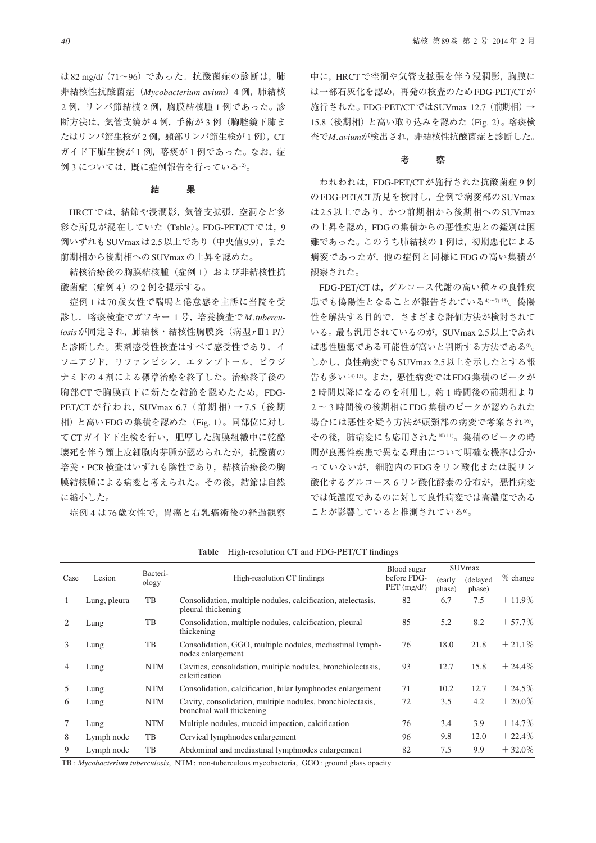は82 mg/d*l*(71~96)であった。抗酸菌症の診断は,肺 非結核性抗酸菌症(*Mycobacterium avium*)4 例,肺結核 2 例, リンパ節結核 2 例, 胸膜結核腫 1 例であった。診 断方法は, 気管支鏡が4例, 手術が3例(胸腔鏡下肺ま たはリンパ節生検が2例, 頸部リンパ節生検が1例), CT ガイド下肺生検が1例, 喀痰が1例であった。なお, 症 例3については、既に症例報告を行っている12)。

#### **結 果**

HRCTでは,結節や浸潤影,気管支拡張,空洞など多 彩な所見が混在していた (Table)。FDG-PET/CTでは, 9 例いずれもSUVmaxは2.5以上であり(中央値9.9),また 前期相から後期相へのSUVmaxの上昇を認めた。

結核治療後の胸膜結核腫(症例1)および非結核性抗 酸菌症(症例 4)の 2 例を提示する。

 症例 1 は70歳女性で喘鳴と倦怠感を主訴に当院を受 診し,喀痰検査でガフキー 1 号,培養検査で*M. tuberculosis*が同定され,肺結核・結核性胸膜炎(病型*r*Ⅲ1 P*l*) と診断した。薬剤感受性検査はすべて感受性であり,イ ソニアジド,リファンピシン,エタンブトール,ピラジ ナミドの 4 剤による標準治療を終了した。治療終了後の 胸部CTで胸膜直下に新たな結節を認めたため,FDG-PET/CT が行われ, SUVmax 6.7 (前期相) → 7.5 (後期 相)と高いFDGの集積を認めた(Fig. 1)。同部位に対し てCTガイド下生検を行い,肥厚した胸膜組織中に乾酪 壊死を伴う類上皮細胞肉芽腫が認められたが,抗酸菌の 培養・PCR検査はいずれも陰性であり,結核治療後の胸 膜結核腫による病変と考えられた。その後,結節は自然 に縮小した。

症例 4 は76歳女性で,胃癌と右乳癌術後の経過観察

中に,HRCTで空洞や気管支拡張を伴う浸潤影,胸膜に は一部石灰化を認め,再発の検査のためFDG-PET/CTが 施行された。FDG-PET/CTではSUVmax 12.7(前期相)→ 15.8(後期相)と高い取り込みを認めた(Fig. 2)。喀痰検 査で*M. avium*が検出され,非結核性抗酸菌症と診断した。

#### **考 察**

 われわれは,FDG-PET/CTが施行された抗酸菌症 9 例 のFDG-PET/CT所見を検討し,全例で病変部のSUVmax は2.5以上であり,かつ前期相から後期相へのSUVmax の上昇を認め,FDGの集積からの悪性疾患との鑑別は困 難であった。このうち肺結核の1例は、初期悪化による 病変であったが,他の症例と同様にFDGの高い集積が 観察された。

FDG-PET/CTは,グルコース代謝の高い種々の良性疾 患でも偽陽性となることが報告されている4)~7) 13)。偽陽 性を解決する目的で,さまざまな評価方法が検討されて いる。最も汎用されているのが,SUVmax 2.5以上であれ ば悪性腫瘍である可能性が高いと判断する方法である9)。 しかし、良性病変でもSUVmax 2.5以上を示したとする報 告も多い14) 15)。また,悪性病変ではFDG集積のピークが 2時間以降になるのを利用し、約1時間後の前期相より 2 ~ 3 時間後の後期相にFDG集積のピークが認められた 場合には悪性を疑う方法が頭頸部の病変で考案され16, その後,肺病変にも応用された10) 11)。集積のピークの時 間が良悪性疾患で異なる理由について明確な機序は分か っていないが,細胞内のFDGをリン酸化または脱リン 酸化するグルコース 6 リン酸化酵素の分布が, 悪性病変 では低濃度であるのに対して良性病変では高濃度である ことが影響していると推測されている6。

| Case                                                                                                            | Lesion       | Bacteri-<br>ology | High-resolution CT findings                                                             | Blood sugar<br>before FDG-<br>PET (mg/dl) | <b>SUVmax</b>    |                    |           |
|-----------------------------------------------------------------------------------------------------------------|--------------|-------------------|-----------------------------------------------------------------------------------------|-------------------------------------------|------------------|--------------------|-----------|
|                                                                                                                 |              |                   |                                                                                         |                                           | (early<br>phase) | (delayed<br>phase) | % change  |
| $\mathbf{1}$                                                                                                    | Lung, pleura | TB                | Consolidation, multiple nodules, calcification, atelectasis,<br>pleural thickening      | 82                                        | 6.7              | 7.5                | $+11.9\%$ |
|                                                                                                                 | Lung         | TB                | Consolidation, multiple nodules, calcification, pleural<br>thickening                   | 85                                        | 5.2              | 8.2                | $+57.7%$  |
| 3                                                                                                               | Lung         | TB                | Consolidation, GGO, multiple nodules, mediastinal lymph-<br>nodes enlargement           | 76                                        | 18.0             | 21.8               | $+21.1%$  |
| 4                                                                                                               | Lung         | <b>NTM</b>        | Cavities, consolidation, multiple nodules, bronchiolectasis,<br>calcification           | 93                                        | 12.7             | 15.8               | $+24.4\%$ |
| 5                                                                                                               | Lung         | <b>NTM</b>        | Consolidation, calcification, hilar lymphnodes enlargement                              | 71                                        | 10.2             | 12.7               | $+24.5\%$ |
| 6                                                                                                               | Lung         | <b>NTM</b>        | Cavity, consolidation, multiple nodules, bronchiolectasis,<br>bronchial wall thickening | 72                                        | 3.5              | 4.2                | $+20.0\%$ |
|                                                                                                                 | Lung         | <b>NTM</b>        | Multiple nodules, mucoid impaction, calcification                                       | 76                                        | 3.4              | 3.9                | $+14.7\%$ |
| 8                                                                                                               | Lymph node   | TB                | Cervical lymphnodes enlargement                                                         | 96                                        | 9.8              | 12.0               | $+22.4%$  |
| 9                                                                                                               | Lymph node   | TB                | Abdominal and mediastinal lymphnodes enlargement                                        | 82                                        | 7.5              | 9.9                | $+32.0\%$ |
| المستساد المستناد والمستناة والمستناة والمستناة والمستناة والمستناة والمستناة والمستناة والمستناة والمستناة وال |              |                   |                                                                                         |                                           |                  |                    |           |

Table High-resolution CT and FDG-PET/CT findings

TB : *Mycobacterium tuberculosis*, NTM : non-tuberculous mycobacteria, GGO : ground glass opacity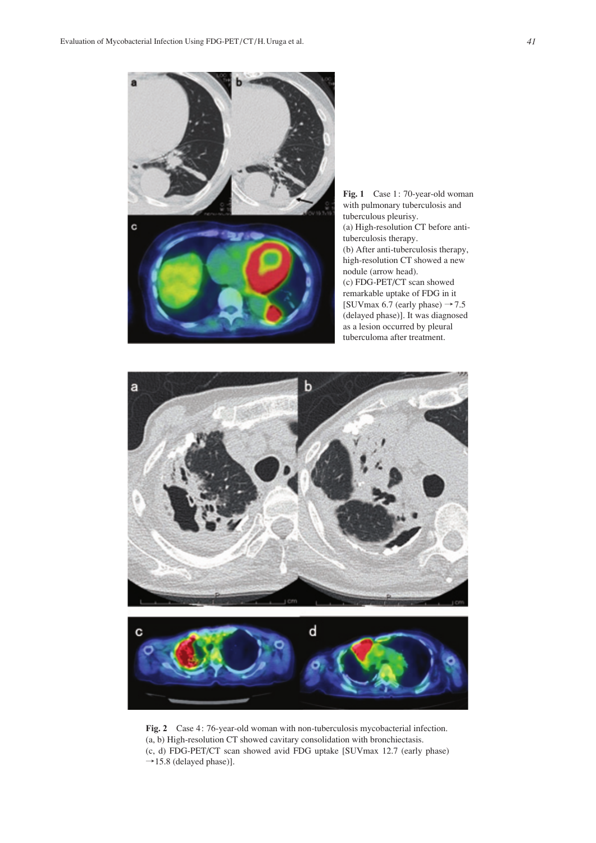

**Fig. 1** Case 1: 70-year-old woman with pulmonary tuberculosis and tuberculous pleurisy. (a) High-resolution CT before antituberculosis therapy. (b) After anti-tuberculosis therapy, high-resolution CT showed a new nodule (arrow head). (c) FDG-PET/CT scan showed remarkable uptake of FDG in it [SUVmax 6.7 (early phase)  $\rightarrow$  7.5 (delayed phase)]. It was diagnosed as a lesion occurred by pleural tuberculoma after treatment.





**Fig. 2** Case 4: 76-year-old woman with non-tuberculosis mycobacterial infection. (a, b) High-resolution CT showed cavitary consolidation with bronchiectasis. (c, d) FDG-PET/CT scan showed avid FDG uptake [SUVmax 12.7 (early phase)  $\rightarrow$ 15.8 (delayed phase)].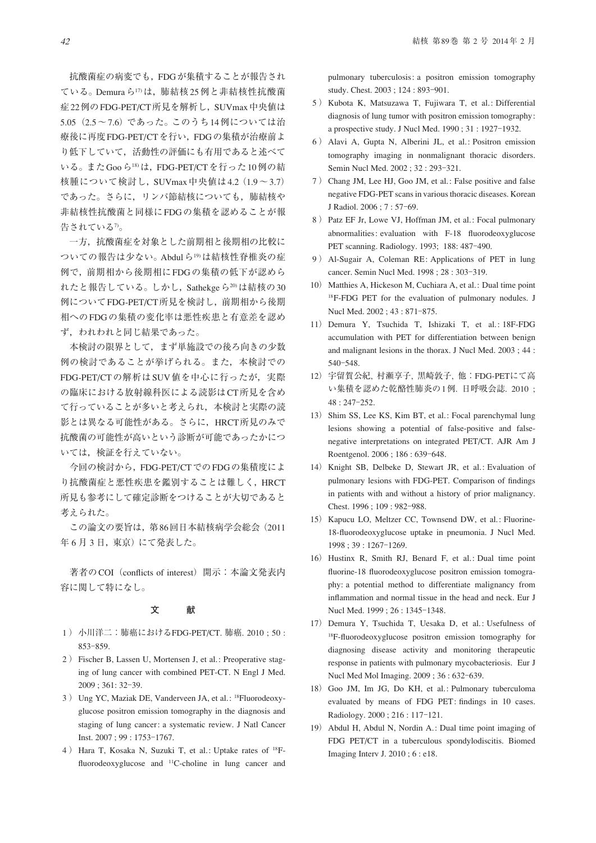抗酸菌症の病変でも,FDGが集積することが報告され ている。Demuraら17)は,肺結核25例と非結核性抗酸菌 症22例のFDG-PET/CT所見を解析し,SUVmax中央値は 5.05(2.5~7.6)であった。このうち14例については治 療後に再度FDG-PET/CTを行い,FDGの集積が治療前よ り低下していて,活動性の評価にも有用であると述べて いる。またGooら18)は,FDG-PET/CTを行った10例の結 核腫について検討し, SUVmax 中央値は4.2 (1.9~3.7) であった。さらに,リンパ節結核についても,肺結核や 非結核性抗酸菌と同様にFDGの集積を認めることが報 告されている7。

 一方,抗酸菌症を対象とした前期相と後期相の比較に ついての報告は少ない。Abdulら19)は結核性脊椎炎の症 例で,前期相から後期相にFDGの集積の低下が認めら れたと報告している。しかし,Sathekgeら20)は結核の30 例についてFDG-PET/CT所見を検討し,前期相から後期 相へのFDGの集積の変化率は悪性疾患と有意差を認め ず,われわれと同じ結果であった。

 本検討の限界として,まず単施設での後ろ向きの少数 例の検討であることが挙げられる。また,本検討での FDG-PET/CTの解析はSUV値を中心に行ったが,実際 の臨床における放射線科医による読影はCT所見を含め て行っていることが多いと考えられ,本検討と実際の読 影とは異なる可能性がある。さらに,HRCT所見のみで 抗酸菌の可能性が高いという診断が可能であったかにつ いては,検証を行えていない。

 今回の検討から,FDG-PET/CTでのFDGの集積度によ り抗酸菌症と悪性疾患を鑑別することは難しく,HRCT 所見も参考にして確定診断をつけることが大切であると 考えられた。

 この論文の要旨は,第86回日本結核病学会総会(2011 年6月3日, 東京)にて発表した。

著者のCOI (conflicts of interest) 開示:本論文発表内 容に関して特になし。

### **文 献**

- 1 ) 小川洋二:肺癌におけるFDG-PET/CT. 肺癌. 2010 ; 50 : 853–859.
- 2 ) Fischer B, Lassen U, Mortensen J, et al.: Preoperative staging of lung cancer with combined PET-CT. N Engl J Med. 2009 ; 361: 32‒39.
- 3) Ung YC, Maziak DE, Vanderveen JA, et al.: <sup>18</sup>Fluorodeoxyglucose positron emission tomography in the diagnosis and staging of lung cancer: a systematic review. J Natl Cancer Inst. 2007 ; 99 : 1753-1767.
- 4 ) Hara T, Kosaka N, Suzuki T, et al.: Uptake rates of 18Ffluorodeoxyglucose and  $^{11}$ C-choline in lung cancer and

pulmonary tuberculosis: a positron emission tomography study. Chest. 2003; 124:893-901.

- 5 ) Kubota K, Matsuzawa T, Fujiwara T, et al.: Differential diagnosis of lung tumor with positron emission tomography: a prospective study. J Nucl Med.  $1990$ ;  $31$ :  $1927-1932$ .
- 6 ) Alavi A, Gupta N, Alberini JL, et al.: Positron emission tomography imaging in nonmalignant thoracic disorders. Semin Nucl Med. 2002 ; 32 : 293-321.
- 7 ) Chang JM, Lee HJ, Goo JM, et al.: False positive and false negative FDG-PET scans in various thoracic diseases. Korean J Radiol. 2006 ; 7 : 57‒69.
- 8 ) Patz EF Jr, Lowe VJ, Hoffman JM, et al.: Focal pulmonary abnormalities: evaluation with F-18 fluorodeoxyglucose PET scanning. Radiology. 1993; 188: 487-490.
- 9 ) Al-Sugair A, Coleman RE: Applications of PET in lung cancer. Semin Nucl Med. 1998 ; 28 : 303-319.
- 10) Matthies A, Hickeson M, Cuchiara A, et al.: Dual time point 18F-FDG PET for the evaluation of pulmonary nodules. J Nucl Med. 2002; 43:871-875.
- 11) Demura Y, Tsuchida T, Ishizaki T, et al.: 18F-FDG accumulation with PET for differentiation between benign and malignant lesions in the thorax. J Nucl Med. 2003 ; 44 : 540‒548.
- 12) 宇留賀公紀, 村瀬享子, 黒崎敦子, 他:FDG-PETにて高 い集積を認めた乾酪性肺炎の1例. 日呼吸会誌. 2010 ;  $48:247-252.$
- 13) Shim SS, Lee KS, Kim BT, et al.: Focal parenchymal lung lesions showing a potential of false-positive and falsenegative interpretations on integrated PET/CT. AJR Am J Roentgenol. 2006; 186:639-648.
- 14) Knight SB, Delbeke D, Stewart JR, et al.: Evaluation of pulmonary lesions with FDG-PET. Comparison of findings in patients with and without a history of prior malignancy. Chest. 1996; 109: 982-988.
- 15) Kapucu LO, Meltzer CC, Townsend DW, et al.: Fluorine-18-fl uorodeoxyglucose uptake in pneumonia. J Nucl Med. 1998 ; 39 : 1267‒1269.
- 16) Hustinx R, Smith RJ, Benard F, et al.: Dual time point fluorine-18 fluorodeoxyglucose positron emission tomography: a potential method to differentiate malignancy from inflammation and normal tissue in the head and neck. Eur J Nucl Med. 1999 : 26 : 1345-1348.
- 17) Demura Y, Tsuchida T, Uesaka D, et al.: Usefulness of <sup>18</sup>F-fluorodeoxyglucose positron emission tomography for diagnosing disease activity and monitoring therapeutic response in patients with pulmonary mycobacteriosis. Eur J Nucl Med Mol Imaging. 2009; 36:632-639.
- 18) Goo JM, Im JG, Do KH, et al.: Pulmonary tuberculoma evaluated by means of FDG PET: findings in 10 cases. Radiology. 2000 ; 216 : 117‒121.
- 19) Abdul H, Abdul N, Nordin A.: Dual time point imaging of FDG PET/CT in a tuberculous spondylodiscitis. Biomed Imaging Interv J. 2010 ; 6 : e18.